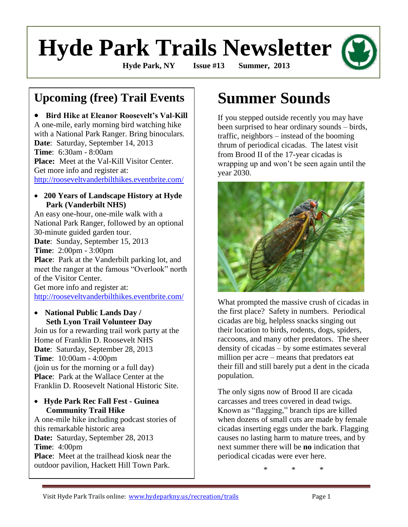# **Hyde Park Trails Newsletter**

**Hyde Park, NY Issue #13 Summer, 2013**

# **Upcoming (free) Trail Events**

 **Bird Hike at Eleanor Roosevelt's Val-Kill** A one-mile, early morning bird watching hike with a National Park Ranger. Bring binoculars. **Date**: Saturday, September 14, 2013 **Time**: 6:30am - 8:00am **Place:** Meet at the Val-Kill Visitor Center. Get more info and register at: <http://rooseveltvanderbilthikes.eventbrite.com/>

### **200 Years of Landscape History at Hyde Park (Vanderbilt NHS)**

An easy one-hour, one-mile walk with a National Park Ranger, followed by an optional 30-minute guided garden tour. **Date**: Sunday, September 15, 2013 **Time**: 2:00pm - 3:00pm **Place**: Park at the Vanderbilt parking lot, and meet the ranger at the famous "Overlook" north of the Visitor Center. Get more info and register at: <http://rooseveltvanderbilthikes.eventbrite.com/>

### **National Public Lands Day / Seth Lyon Trail Volunteer Day**

Join us for a rewarding trail work party at the Home of Franklin D. Roosevelt NHS **Date**: Saturday, September 28, 2013 **Time**: 10:00am - 4:00pm (join us for the morning or a full day) **Place**: Park at the Wallace Center at the Franklin D. Roosevelt National Historic Site.

### **Hyde Park Rec Fall Fest - Guinea Community Trail Hike**

A one-mile hike including podcast stories of this remarkable historic area **Date:** Saturday, September 28, 2013 **Time**: 4:00pm **Place**: Meet at the trailhead kiosk near the outdoor pavilion, Hackett Hill Town Park.

# **Summer Sounds**

If you stepped outside recently you may have been surprised to hear ordinary sounds – birds, traffic, neighbors – instead of the booming thrum of periodical cicadas. The latest visit from Brood II of the 17-year cicadas is wrapping up and won't be seen again until the year 2030.



What prompted the massive crush of cicadas in the first place? Safety in numbers. Periodical cicadas are big, helpless snacks singing out their location to birds, rodents, dogs, spiders, raccoons, and many other predators. The sheer density of cicadas – by some estimates several million per acre – means that predators eat their fill and still barely put a dent in the cicada population.

The only signs now of Brood II are cicada carcasses and trees covered in dead twigs. Known as "flagging," branch tips are killed when dozens of small cuts are made by female cicadas inserting eggs under the bark. Flagging causes no lasting harm to mature trees, and by next summer there will be **no** indication that periodical cicadas were ever here.

\* \* \*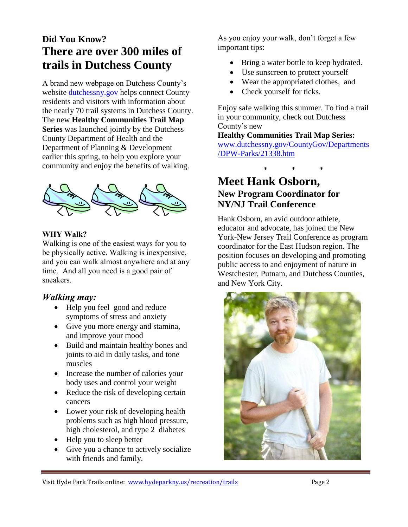# **Did You Know? There are over 300 miles of trails in Dutchess County**

A brand new webpage on Dutchess County's website [dutchessny.gov](http://www.dutchessny.gov/) helps connect County residents and visitors with information about the nearly 70 trail systems in Dutchess County. The new **Healthy Communities Trail Map Series** was launched jointly by the Dutchess County Department of Health and the Department of Planning & Development earlier this spring, to help you explore your community and enjoy the benefits of walking.



### **WHY Walk?**

Walking is one of the easiest ways for you to be physically active. Walking is inexpensive, and you can walk almost anywhere and at any time. And all you need is a good pair of sneakers.

## *Walking may:*

- Help you feel good and reduce symptoms of stress and anxiety
- Give you more energy and stamina, and improve your mood
- Build and maintain healthy bones and joints to aid in daily tasks, and tone muscles
- Increase the number of calories your body uses and control your weight
- Reduce the risk of developing certain cancers
- Lower your risk of developing health problems such as high blood pressure, high cholesterol, and type 2 diabetes
- Help you to sleep better
- Give you a chance to actively socialize with friends and family.

As you enjoy your walk, don't forget a few important tips:

- Bring a water bottle to keep hydrated.
- Use sunscreen to protect yourself
- Wear the appropriated clothes, and
- Check yourself for ticks.

Enjoy safe walking this summer. To find a trail in your community, check out Dutchess County's new

**Healthy Communities Trail Map Series:** [www.dutchessny.gov/CountyGov/Departments](http://www.dutchessny.gov/CountyGov/Departments/DPW-Parks/21338.htm) [/DPW-Parks/21338.htm](http://www.dutchessny.gov/CountyGov/Departments/DPW-Parks/21338.htm)

# \* \* \*

# **Meet Hank Osborn, New Program Coordinator for NY/NJ Trail Conference**

Hank Osborn, an avid outdoor athlete, educator and advocate, has joined the New York-New Jersey Trail Conference as program coordinator for the East Hudson region. The position focuses on developing and promoting public access to and enjoyment of nature in Westchester, Putnam, and Dutchess Counties, and New York City.

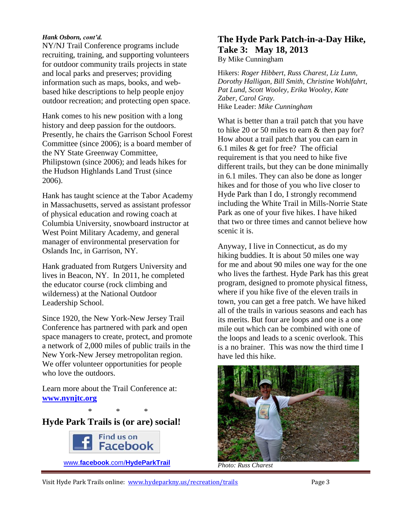#### *Hank Osborn, cont'd.*

NY/NJ Trail Conference programs include recruiting, training, and supporting volunteers for outdoor community trails projects in state and local parks and preserves; providing information such as maps, books, and webbased hike descriptions to help people enjoy outdoor recreation; and protecting open space.

Hank comes to his new position with a long history and deep passion for the outdoors. Presently, he chairs the Garrison School Forest Committee (since 2006); is a board member of the NY State Greenway Committee, Philipstown (since 2006); and leads hikes for the Hudson Highlands Land Trust (since 2006).

Hank has taught science at the Tabor Academy in Massachusetts, served as assistant professor of physical education and rowing coach at Columbia University, snowboard instructor at West Point Military Academy, and general manager of environmental preservation for Oslands Inc, in Garrison, NY.

Hank graduated from Rutgers University and lives in Beacon, NY. In 2011, he completed the educator course (rock climbing and wilderness) at the National Outdoor Leadership School.

Since 1920, the New York-New Jersey Trail Conference has partnered with park and open space managers to create, protect, and promote a network of 2,000 miles of public trails in the New York-New Jersey metropolitan region. We offer volunteer opportunities for people who love the outdoors.

Learn more about the Trail Conference at: **[www.nynjtc.org](http://www.nynjtc.org/)**

\* \* \*

**Hyde Park Trails is (or are) social!** 



**The Hyde Park Patch-in-a-Day Hike, Take 3: May 18, 2013** By Mike Cunningham

Hikers: *Roger Hibbert, Russ Charest, Liz Lunn, Dorothy Halligan, Bill Smith, Christine Wohlfahrt, Pat Lund, Scott Wooley, Erika Wooley, Kate Zaber, Carol Gray.*  Hike Leader: *Mike Cunningham*

What is better than a trail patch that you have to hike 20 or 50 miles to earn & then pay for? How about a trail patch that you can earn in 6.1 miles & get for free? The official requirement is that you need to hike five different trails, but they can be done minimally in 6.1 miles. They can also be done as longer hikes and for those of you who live closer to Hyde Park than I do, I strongly recommend including the White Trail in Mills-Norrie State Park as one of your five hikes. I have hiked that two or three times and cannot believe how scenic it is.

Anyway, I live in Connecticut, as do my hiking buddies. It is about 50 miles one way for me and about 90 miles one way for the one who lives the farthest. Hyde Park has this great program, designed to promote physical fitness, where if you hike five of the eleven trails in town, you can get a free patch. We have hiked all of the trails in various seasons and each has its merits. But four are loops and one is a one mile out which can be combined with one of the loops and leads to a scenic overlook. This is a no brainer. This was now the third time I have led this hike.



*Photo: Russ Charest*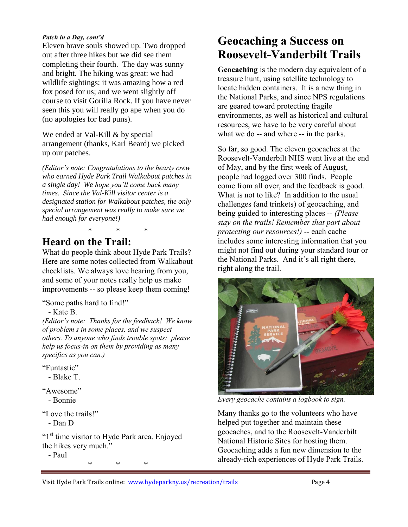#### *Patch in a Day, cont'd*

Eleven brave souls showed up. Two dropped out after three hikes but we did see them completing their fourth. The day was sunny and bright. The hiking was great: we had wildlife sightings; it was amazing how a red fox posed for us; and we went slightly off course to visit Gorilla Rock. If you have never seen this you will really go ape when you do (no apologies for bad puns).

We ended at Val-Kill & by special arrangement (thanks, Karl Beard) we picked up our patches.

*(Editor's note: Congratulations to the hearty crew who earned Hyde Park Trail Walkabout patches in a single day! We hope you'll come back many times. Since the Val-Kill visitor center is a designated station for Walkabout patches, the only special arrangement was really to make sure we had enough for everyone!)*

# **Heard on the Trail:**

What do people think about Hyde Park Trails? Here are some notes collected from Walkabout checklists. We always love hearing from you, and some of your notes really help us make improvements -- so please keep them coming!

\* \* \*

"Some paths hard to find!"

### - Kate B.

*(Editor's note: Thanks for the feedback! We know of problem s in some places, and we suspect others. To anyone who finds trouble spots: please help us focus-in on them by providing as many specifics as you can.)* 

"Funtastic"

- Blake T.

"Awesome"

- Bonnie

"Love the trails!"

- Dan D

"1<sup>st</sup> time visitor to Hyde Park area. Enjoyed the hikes very much."

- Paul

\* \* \*

# **Geocaching a Success on Roosevelt-Vanderbilt Trails**

**Geocaching** is the modern day equivalent of a treasure hunt, using satellite technology to locate hidden containers. It is a new thing in the National Parks, and since NPS regulations are geared toward protecting fragile environments, as well as historical and cultural resources, we have to be very careful about what we do -- and where -- in the parks.

So far, so good. The eleven geocaches at the Roosevelt-Vanderbilt NHS went live at the end of May, and by the first week of August, people had logged over 300 finds. People come from all over, and the feedback is good. What is not to like? In addition to the usual challenges (and trinkets) of geocaching, and being guided to interesting places -- *(Please stay on the trails! Remember that part about protecting our resources!)* -- each cache includes some interesting information that you might not find out during your standard tour or the National Parks. And it's all right there, right along the trail.



*Every geocache contains a logbook to sign.*

Many thanks go to the volunteers who have helped put together and maintain these geocaches, and to the Roosevelt-Vanderbilt National Historic Sites for hosting them. Geocaching adds a fun new dimension to the already-rich experiences of Hyde Park Trails.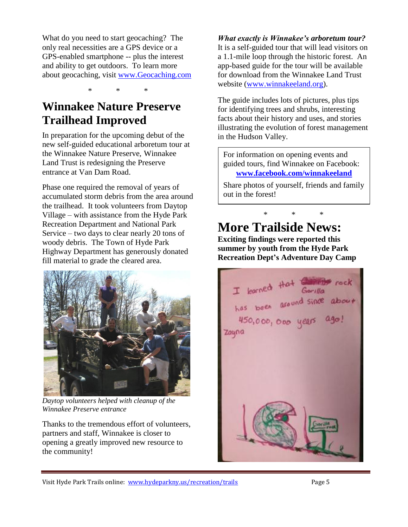What do you need to start geocaching? The only real necessities are a GPS device or a GPS-enabled smartphone -- plus the interest and ability to get outdoors. To learn more about geocaching, visit [www.Geocaching.com](http://www.geocaching.com/)

\* \* \*

# **Winnakee Nature Preserve Trailhead Improved**

In preparation for the upcoming debut of the new self-guided educational arboretum tour at the Winnakee Nature Preserve, Winnakee Land Trust is redesigning the Preserve entrance at Van Dam Road.

Phase one required the removal of years of accumulated storm debris from the area around the trailhead. It took volunteers from Daytop Village – with assistance from the Hyde Park Recreation Department and National Park Service – two days to clear nearly 20 tons of woody debris. The Town of Hyde Park Highway Department has generously donated fill material to grade the cleared area.



*Daytop volunteers helped with cleanup of the Winnakee Preserve entrance*

Thanks to the tremendous effort of volunteers, partners and staff, Winnakee is closer to opening a greatly improved new resource to the community!

*What exactly is Winnakee's arboretum tour?* It is a self-guided tour that will lead visitors on a 1.1-mile loop through the historic forest. An app-based guide for the tour will be available for download from the Winnakee Land Trust website [\(www.winnakeeland.org\)](http://www.winnakeeland.org/).

The guide includes lots of pictures, plus tips for identifying trees and shrubs, interesting facts about their history and uses, and stories illustrating the evolution of forest management in the Hudson Valley.

For information on opening events and guided tours, find Winnakee on Facebook: **[www.facebook.com/winnakeeland](http://www.facebook.com/winnakeeland)**

Share photos of yourself, friends and family out in the forest!

# \* \* \* **More Trailside News:**

**Exciting findings were reported this summer by youth from the Hyde Park Recreation Dept's Adventure Day Camp**